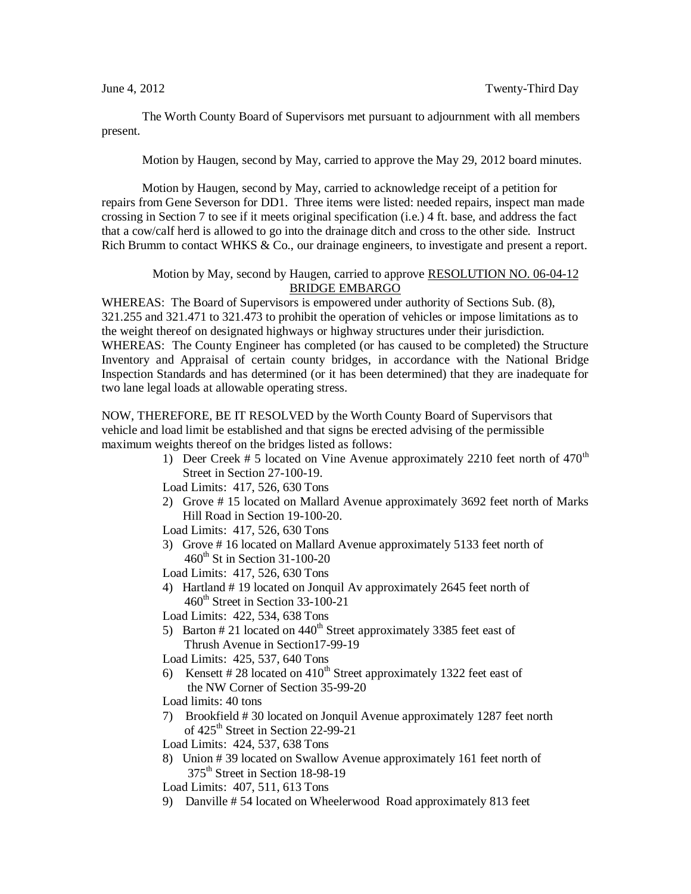The Worth County Board of Supervisors met pursuant to adjournment with all members present.

Motion by Haugen, second by May, carried to approve the May 29, 2012 board minutes.

Motion by Haugen, second by May, carried to acknowledge receipt of a petition for repairs from Gene Severson for DD1. Three items were listed: needed repairs, inspect man made crossing in Section 7 to see if it meets original specification (i.e.) 4 ft. base, and address the fact that a cow/calf herd is allowed to go into the drainage ditch and cross to the other side. Instruct Rich Brumm to contact WHKS & Co., our drainage engineers, to investigate and present a report.

## Motion by May, second by Haugen, carried to approve RESOLUTION NO. 06-04-12 BRIDGE EMBARGO

WHEREAS: The Board of Supervisors is empowered under authority of Sections Sub. (8), 321.255 and 321.471 to 321.473 to prohibit the operation of vehicles or impose limitations as to the weight thereof on designated highways or highway structures under their jurisdiction. WHEREAS: The County Engineer has completed (or has caused to be completed) the Structure Inventory and Appraisal of certain county bridges, in accordance with the National Bridge Inspection Standards and has determined (or it has been determined) that they are inadequate for two lane legal loads at allowable operating stress.

NOW, THEREFORE, BE IT RESOLVED by the Worth County Board of Supervisors that vehicle and load limit be established and that signs be erected advising of the permissible maximum weights thereof on the bridges listed as follows:

- 1) Deer Creek # 5 located on Vine Avenue approximately 2210 feet north of  $470<sup>th</sup>$ Street in Section 27-100-19.
- Load Limits: 417, 526, 630 Tons
- 2) Grove # 15 located on Mallard Avenue approximately 3692 feet north of Marks Hill Road in Section 19-100-20.
- Load Limits: 417, 526, 630 Tons
- 3) Grove # 16 located on Mallard Avenue approximately 5133 feet north of  $460^{\text{th}}$  St in Section 31-100-20
- Load Limits: 417, 526, 630 Tons
- 4) Hartland # 19 located on Jonquil Av approximately 2645 feet north of  $460<sup>th</sup>$  Street in Section 33-100-21
- Load Limits: 422, 534, 638 Tons
- 5) Barton # 21 located on  $440<sup>th</sup>$  Street approximately 3385 feet east of Thrush Avenue in Section17-99-19
- Load Limits: 425, 537, 640 Tons
- 6) Kensett # 28 located on  $410<sup>th</sup>$  Street approximately 1322 feet east of the NW Corner of Section 35-99-20
- Load limits: 40 tons
- 7) Brookfield # 30 located on Jonquil Avenue approximately 1287 feet north of  $425^{\text{th}}$  Street in Section 22-99-21
- Load Limits: 424, 537, 638 Tons
- 8) Union # 39 located on Swallow Avenue approximately 161 feet north of 375<sup>th</sup> Street in Section 18-98-19

Load Limits: 407, 511, 613 Tons

9) Danville # 54 located on Wheelerwood Road approximately 813 feet